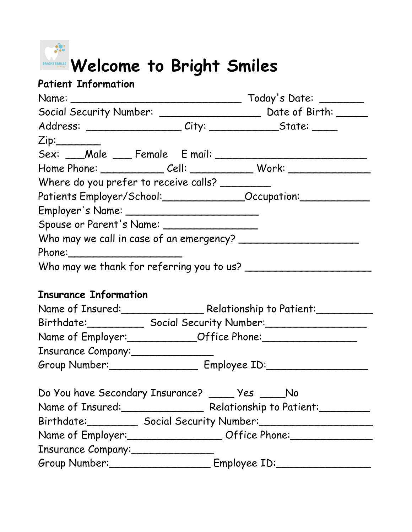## **Welcome to Bright Smiles**

| <b>Patient Information</b>                       |                                                                                  |                                                                                  |  |
|--------------------------------------------------|----------------------------------------------------------------------------------|----------------------------------------------------------------------------------|--|
|                                                  |                                                                                  |                                                                                  |  |
|                                                  |                                                                                  | Social Security Number: ___________________ Date of Birth: _____                 |  |
|                                                  |                                                                                  | Address: _____________________City: ________________State: ______                |  |
| Zip:                                             |                                                                                  |                                                                                  |  |
|                                                  |                                                                                  |                                                                                  |  |
|                                                  |                                                                                  | Home Phone: _______________ Cell: ________________ Work: _______________________ |  |
| Where do you prefer to receive calls? _________  |                                                                                  |                                                                                  |  |
|                                                  |                                                                                  | Patients Employer/School:_______________Occupation:_____________________________ |  |
|                                                  |                                                                                  |                                                                                  |  |
| Spouse or Parent's Name: ___________________     |                                                                                  |                                                                                  |  |
|                                                  |                                                                                  |                                                                                  |  |
|                                                  |                                                                                  |                                                                                  |  |
|                                                  |                                                                                  |                                                                                  |  |
|                                                  |                                                                                  |                                                                                  |  |
| <b>Insurance Information</b>                     |                                                                                  |                                                                                  |  |
|                                                  | Name of Insured: Relationship to Patient: 1997                                   |                                                                                  |  |
|                                                  | Birthdate: Social Security Number: Social Security Number:                       |                                                                                  |  |
|                                                  | Name of Employer: ______________Office Phone: __________________________________ |                                                                                  |  |
| Insurance Company:                               |                                                                                  |                                                                                  |  |
|                                                  |                                                                                  | Group Number: Employee ID:                                                       |  |
|                                                  |                                                                                  |                                                                                  |  |
| Do You have Secondary Insurance? ____ Yes ____No |                                                                                  |                                                                                  |  |
| Name of Insured: Relationship to Patient: 1997   |                                                                                  |                                                                                  |  |
|                                                  |                                                                                  | Birthdate: Social Security Number: Social Security Number:                       |  |
|                                                  | Name of Employer: Office Phone:                                                  |                                                                                  |  |
| Insurance Company:________________               |                                                                                  |                                                                                  |  |
|                                                  | Group Number: _____________________ Employee ID: _______________________________ |                                                                                  |  |